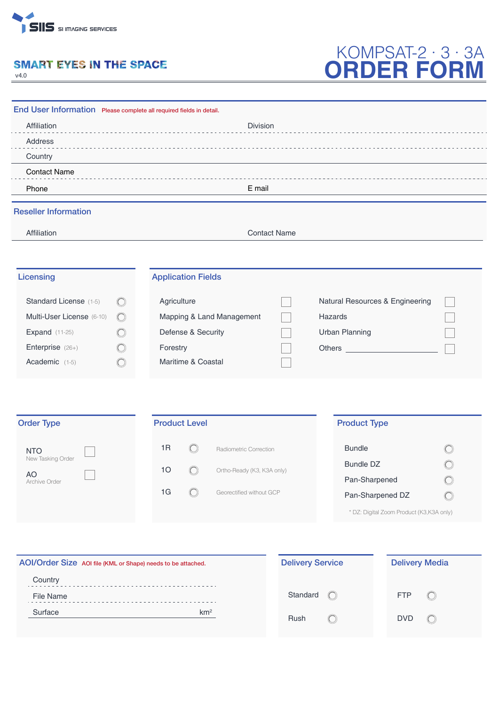

# **SMART EYES IN THE SPACE**

v4.0

# KOMPSAT-2 · 3 · 3A **ORDER FORM**

| End User Information Please complete all required fields in detail. |            |                           |                     |                                 |  |  |
|---------------------------------------------------------------------|------------|---------------------------|---------------------|---------------------------------|--|--|
| Affiliation                                                         |            | Division                  |                     |                                 |  |  |
| Address                                                             |            |                           |                     |                                 |  |  |
| Country                                                             |            |                           |                     |                                 |  |  |
| <b>Contact Name</b>                                                 |            |                           |                     |                                 |  |  |
| Phone                                                               | E mail     |                           |                     |                                 |  |  |
| <b>Reseller Information</b>                                         |            |                           |                     |                                 |  |  |
| Affiliation                                                         |            |                           | <b>Contact Name</b> |                                 |  |  |
| Licensing                                                           |            | <b>Application Fields</b> |                     |                                 |  |  |
| Standard License (1-5)                                              |            | Agriculture               |                     | Natural Resources & Engineering |  |  |
| Multi-User License (6-10)                                           | $\bigcirc$ | Mapping & Land Management |                     | Hazards                         |  |  |
| <b>Expand</b> (11-25)                                               |            | Defense & Security        |                     | <b>Urban Planning</b>           |  |  |
| Enterprise (26+)                                                    |            | Forestry                  |                     | Others                          |  |  |
| Academic (1-5)                                                      |            | Maritime & Coastal        |                     |                                 |  |  |
|                                                                     |            |                           |                     |                                 |  |  |
|                                                                     |            |                           |                     |                                 |  |  |
| <b>Order Type</b>                                                   |            | <b>Product Level</b>      |                     | <b>Product Type</b>             |  |  |

| <b>NTO</b>          | 1R |    | Radiometric Correction     | <b>Bundle</b>    |
|---------------------|----|----|----------------------------|------------------|
| New Tasking Order   |    | 10 | Ortho-Ready (K3, K3A only) | <b>Bundle DZ</b> |
| AO<br>Archive Order |    |    |                            | Pan-Sharpened    |
|                     |    | 1G | Georectified without GCP   | Pan-Sharpened DZ |
|                     |    |    |                            |                  |

\* DZ: Digital Zoom Product (K3,K3A only)

 $\circledcirc$  $\bigcirc$  $\bigcirc$  $\bigcirc$ 

| AOI/Order Size AOI file (KML or Shape) needs to be attached. | <b>Delivery Service</b> | <b>Delivery Media</b>            |  |  |
|--------------------------------------------------------------|-------------------------|----------------------------------|--|--|
| Country                                                      |                         |                                  |  |  |
| File Name                                                    | Standard                | <b>FTP</b><br>$\left($ $\right)$ |  |  |
| km <sup>2</sup><br>Surface                                   | Rush                    | <b>DVD</b><br>$\mathbb{C}$       |  |  |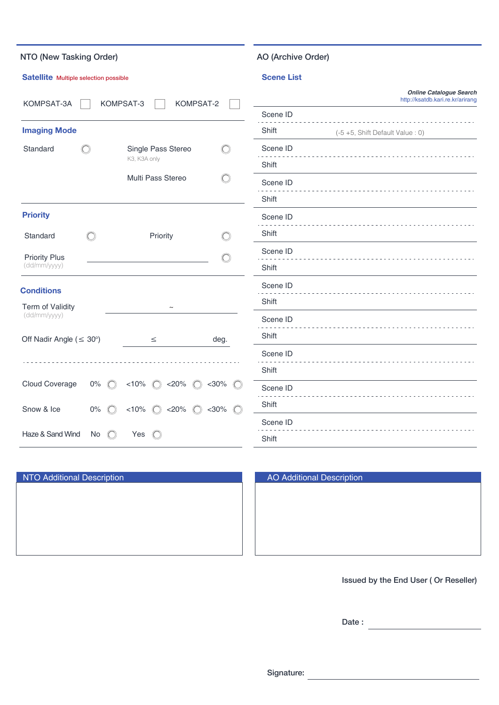| NTO (New Tasking Order)               |                                                            |                                                                                                                |                       | AO (Archive Order) |                                                                    |
|---------------------------------------|------------------------------------------------------------|----------------------------------------------------------------------------------------------------------------|-----------------------|--------------------|--------------------------------------------------------------------|
| Satellite Multiple selection possible |                                                            |                                                                                                                |                       | <b>Scene List</b>  |                                                                    |
| KOMPSAT-3<br>KOMPSAT-2<br>KOMPSAT-3A  |                                                            |                                                                                                                |                       |                    | <b>Online Catalogue Search</b><br>http://ksatdb.kari.re.kr/arirang |
|                                       |                                                            |                                                                                                                |                       | Scene ID           |                                                                    |
| <b>Imaging Mode</b>                   |                                                            |                                                                                                                |                       | Shift              | (-5 +5, Shift Default Value : 0)                                   |
| Standard                              |                                                            | Single Pass Stereo                                                                                             | ◯                     | Scene ID           |                                                                    |
|                                       |                                                            | K3, K3A only                                                                                                   |                       | Shift              |                                                                    |
| Multi Pass Stereo                     |                                                            | ◯                                                                                                              | Scene ID              |                    |                                                                    |
|                                       |                                                            |                                                                                                                |                       | Shift              |                                                                    |
| <b>Priority</b>                       |                                                            |                                                                                                                |                       | Scene ID           |                                                                    |
| Standard                              | ()                                                         | Priority                                                                                                       | O                     | Shift              |                                                                    |
| <b>Priority Plus</b><br>(dd/mm/yyyy)  |                                                            |                                                                                                                | O                     | Scene ID           |                                                                    |
|                                       |                                                            |                                                                                                                |                       | Shift              |                                                                    |
| <b>Conditions</b>                     |                                                            |                                                                                                                |                       | Scene ID           |                                                                    |
| Term of Validity                      |                                                            | $\tilde{}$                                                                                                     |                       | Shift              |                                                                    |
| (dd/mm/yyyy)                          |                                                            |                                                                                                                | Scene ID              |                    |                                                                    |
| Off Nadir Angle ( $\leq 30^{\circ}$ ) |                                                            | $\leq$                                                                                                         | deg.                  | Shift              |                                                                    |
|                                       |                                                            |                                                                                                                |                       | Scene ID           |                                                                    |
|                                       |                                                            |                                                                                                                |                       | Shift              |                                                                    |
| Cloud Coverage                        | $0\%$<br>$\left(\begin{matrix} 1 \\ 1 \end{matrix}\right)$ | < 10%<br>$<$ 20%<br>$\left(\begin{array}{c} \end{array}\right)$<br>$\left(\begin{array}{c} \end{array}\right)$ | $<$ 30%               | Scene ID           |                                                                    |
| Snow & Ice                            | $0\%$                                                      | < 10%<br>$<$ 20%                                                                                               | $<$ 30%<br>$\bigcirc$ | Shift              |                                                                    |
|                                       |                                                            |                                                                                                                |                       | Scene ID           |                                                                    |
| Haze & Sand Wind                      | No                                                         | Yes                                                                                                            |                       | Shift              |                                                                    |

| <b>NTO Additional Description</b> | <b>AO Additional Description</b> |
|-----------------------------------|----------------------------------|
|                                   |                                  |
|                                   |                                  |
|                                   |                                  |
|                                   |                                  |
|                                   |                                  |

| <b>AO Additional Description</b> |  |
|----------------------------------|--|
|                                  |  |
|                                  |  |
|                                  |  |
|                                  |  |
|                                  |  |
|                                  |  |
|                                  |  |
|                                  |  |

Issued by the End User ( Or Reseller)

Date :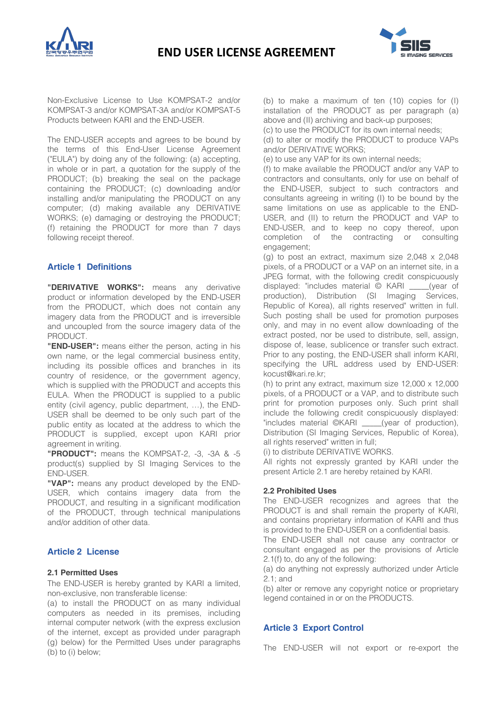



Non-Exclusive License to Use KOMPSAT-2 and/or KOMPSAT-3 and/or KOMPSAT-3A and/or KOMPSAT-5 Products between KARI and the END-USER.

The END-USER accepts and agrees to be bound by the terms of this End-User License Agreement ("EULA") by doing any of the following: (a) accepting, in whole or in part, a quotation for the supply of the PRODUCT; (b) breaking the seal on the package containing the PRODUCT; (c) downloading and/or installing and/or manipulating the PRODUCT on any computer; (d) making available any DERIVATIVE WORKS; (e) damaging or destroying the PRODUCT; (f) retaining the PRODUCT for more than 7 days following receipt thereof.

## **Article 1 Definitions**

**"DERIVATIVE WORKS":** means any derivative product or information developed by the END-USER from the PRODUCT, which does not contain any imagery data from the PRODUCT and is irreversible and uncoupled from the source imagery data of the PRODUCT.

**"END-USER":** means either the person, acting in his own name, or the legal commercial business entity, including its possible offices and branches in its country of residence, or the government agency, which is supplied with the PRODUCT and accepts this EULA. When the PRODUCT is supplied to a public entity (civil agency, public department, …), the END-USER shall be deemed to be only such part of the public entity as located at the address to which the PRODUCT is supplied, except upon KARI prior agreement in writing.

**"PRODUCT":** means the KOMPSAT-2, -3, -3A & -5 product(s) supplied by SI Imaging Services to the END-USER.

**"VAP":** means any product developed by the END-USER, which contains imagery data from the PRODUCT, and resulting in a significant modification of the PRODUCT, through technical manipulations and/or addition of other data.

#### **Article 2 License**

### **2.1 Permitted Uses**

The END-USER is hereby granted by KARI a limited, non-exclusive, non transferable license:

(a) to install the PRODUCT on as many individual computers as needed in its premises, including internal computer network (with the express exclusion of the internet, except as provided under paragraph (g) below) for the Permitted Uses under paragraphs (b) to (i) below;

(b) to make a maximum of ten (10) copies for (I) installation of the PRODUCT as per paragraph (a) above and (II) archiving and back-up purposes;

(c) to use the PRODUCT for its own internal needs; (d) to alter or modify the PRODUCT to produce VAPs and/or DERIVATIVE WORKS;

(e) to use any VAP for its own internal needs;

(f) to make available the PRODUCT and/or any VAP to contractors and consultants, only for use on behalf of the END-USER, subject to such contractors and consultants agreeing in writing (I) to be bound by the same limitations on use as applicable to the END-USER, and (II) to return the PRODUCT and VAP to END-USER, and to keep no copy thereof, upon completion of the contracting or consulting engagement;

(g) to post an extract, maximum size 2,048 x 2,048 pixels, of a PRODUCT or a VAP on an internet site, in a JPEG format, with the following credit conspicuously displayed: "includes material © KARI \_\_\_\_\_(year of production), Distribution (SI Imaging Services, Republic of Korea), all rights reserved" written in full. Such posting shall be used for promotion purposes only, and may in no event allow downloading of the extract posted, nor be used to distribute, sell, assign, dispose of, lease, sublicence or transfer such extract. Prior to any posting, the END-USER shall inform KARI, specifying the URL address used by END-USER: kocust@kari.re.kr;

(h) to print any extract, maximum size 12,000 x 12,000 pixels, of a PRODUCT or a VAP, and to distribute such print for promotion purposes only. Such print shall include the following credit conspicuously displayed: "includes material ©KARI \_\_\_\_\_(year of production), Distribution (SI Imaging Services, Republic of Korea), all rights reserved" written in full;

(i) to distribute DERIVATIVE WORKS.

All rights not expressly granted by KARI under the present Article 2.1 are hereby retained by KARI.

#### **2.2 Prohibited Uses**

The END-USER recognizes and agrees that the PRODUCT is and shall remain the property of KARI, and contains proprietary information of KARI and thus is provided to the END-USER on a confidential basis.

The END-USER shall not cause any contractor or consultant engaged as per the provisions of Article 2.1(f) to, do any of the following:

(a) do anything not expressly authorized under Article 2.1; and

(b) alter or remove any copyright notice or proprietary legend contained in or on the PRODUCTS.

#### **Article 3 Export Control**

The END-USER will not export or re-export the